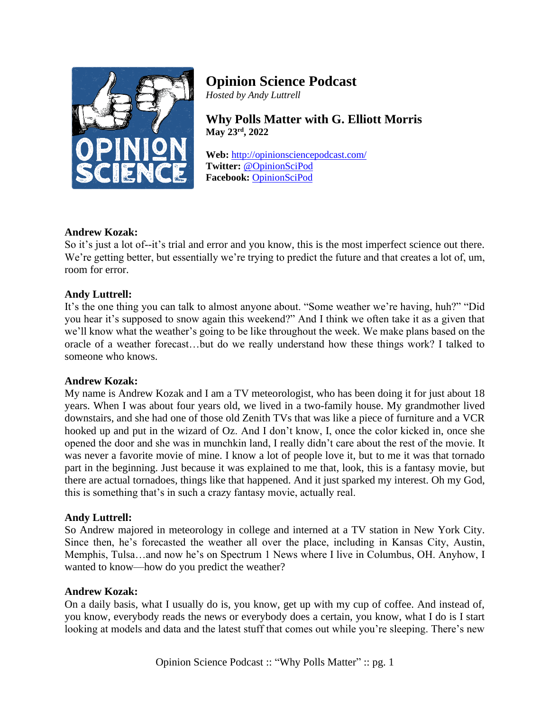

# **Opinion Science Podcast**

*Hosted by Andy Luttrell*

**Why Polls Matter with G. Elliott Morris May 23rd, 2022**

**Web:** <http://opinionsciencepodcast.com/> **Twitter:** [@OpinionSciPod](https://twitter.com/OpinionSciPod) **Facebook:** [OpinionSciPod](https://www.facebook.com/OpinionSciPod/)

# **Andrew Kozak:**

So it's just a lot of--it's trial and error and you know, this is the most imperfect science out there. We're getting better, but essentially we're trying to predict the future and that creates a lot of, um, room for error.

# **Andy Luttrell:**

It's the one thing you can talk to almost anyone about. "Some weather we're having, huh?" "Did you hear it's supposed to snow again this weekend?" And I think we often take it as a given that we'll know what the weather's going to be like throughout the week. We make plans based on the oracle of a weather forecast…but do we really understand how these things work? I talked to someone who knows.

#### **Andrew Kozak:**

My name is Andrew Kozak and I am a TV meteorologist, who has been doing it for just about 18 years. When I was about four years old, we lived in a two-family house. My grandmother lived downstairs, and she had one of those old Zenith TVs that was like a piece of furniture and a VCR hooked up and put in the wizard of Oz. And I don't know, I, once the color kicked in, once she opened the door and she was in munchkin land, I really didn't care about the rest of the movie. It was never a favorite movie of mine. I know a lot of people love it, but to me it was that tornado part in the beginning. Just because it was explained to me that, look, this is a fantasy movie, but there are actual tornadoes, things like that happened. And it just sparked my interest. Oh my God, this is something that's in such a crazy fantasy movie, actually real.

#### **Andy Luttrell:**

So Andrew majored in meteorology in college and interned at a TV station in New York City. Since then, he's forecasted the weather all over the place, including in Kansas City, Austin, Memphis, Tulsa…and now he's on Spectrum 1 News where I live in Columbus, OH. Anyhow, I wanted to know—how do you predict the weather?

#### **Andrew Kozak:**

On a daily basis, what I usually do is, you know, get up with my cup of coffee. And instead of, you know, everybody reads the news or everybody does a certain, you know, what I do is I start looking at models and data and the latest stuff that comes out while you're sleeping. There's new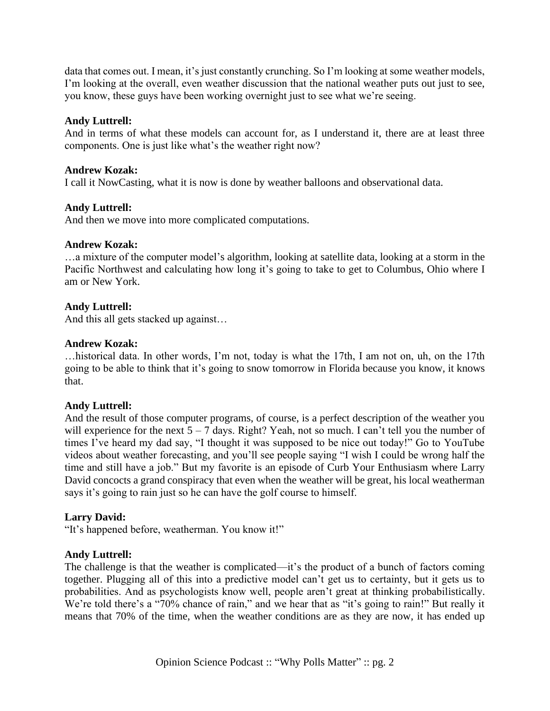data that comes out. I mean, it's just constantly crunching. So I'm looking at some weather models, I'm looking at the overall, even weather discussion that the national weather puts out just to see, you know, these guys have been working overnight just to see what we're seeing.

# **Andy Luttrell:**

And in terms of what these models can account for, as I understand it, there are at least three components. One is just like what's the weather right now?

#### **Andrew Kozak:**

I call it NowCasting, what it is now is done by weather balloons and observational data.

# **Andy Luttrell:**

And then we move into more complicated computations.

#### **Andrew Kozak:**

…a mixture of the computer model's algorithm, looking at satellite data, looking at a storm in the Pacific Northwest and calculating how long it's going to take to get to Columbus, Ohio where I am or New York.

# **Andy Luttrell:**

And this all gets stacked up against…

#### **Andrew Kozak:**

…historical data. In other words, I'm not, today is what the 17th, I am not on, uh, on the 17th going to be able to think that it's going to snow tomorrow in Florida because you know, it knows that.

#### **Andy Luttrell:**

And the result of those computer programs, of course, is a perfect description of the weather you will experience for the next  $5 - 7$  days. Right? Yeah, not so much. I can't tell you the number of times I've heard my dad say, "I thought it was supposed to be nice out today!" Go to YouTube videos about weather forecasting, and you'll see people saying "I wish I could be wrong half the time and still have a job." But my favorite is an episode of Curb Your Enthusiasm where Larry David concocts a grand conspiracy that even when the weather will be great, his local weatherman says it's going to rain just so he can have the golf course to himself.

#### **Larry David:**

"It's happened before, weatherman. You know it!"

#### **Andy Luttrell:**

The challenge is that the weather is complicated—it's the product of a bunch of factors coming together. Plugging all of this into a predictive model can't get us to certainty, but it gets us to probabilities. And as psychologists know well, people aren't great at thinking probabilistically. We're told there's a "70% chance of rain," and we hear that as "it's going to rain!" But really it means that 70% of the time, when the weather conditions are as they are now, it has ended up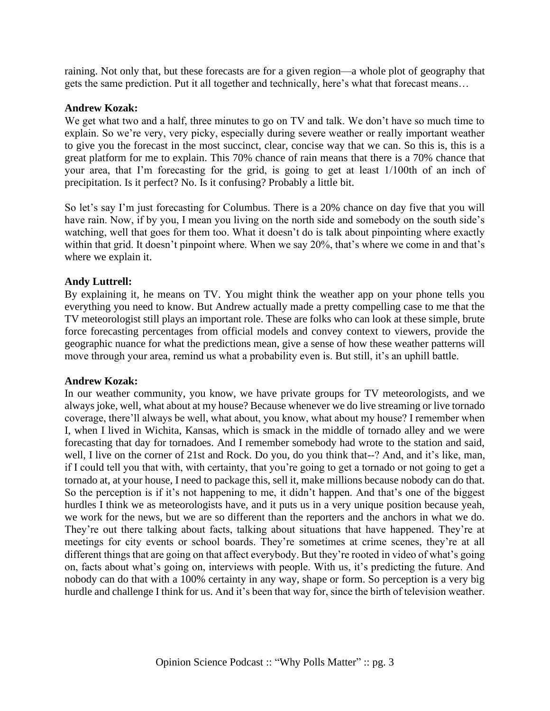raining. Not only that, but these forecasts are for a given region—a whole plot of geography that gets the same prediction. Put it all together and technically, here's what that forecast means…

#### **Andrew Kozak:**

We get what two and a half, three minutes to go on TV and talk. We don't have so much time to explain. So we're very, very picky, especially during severe weather or really important weather to give you the forecast in the most succinct, clear, concise way that we can. So this is, this is a great platform for me to explain. This 70% chance of rain means that there is a 70% chance that your area, that I'm forecasting for the grid, is going to get at least 1/100th of an inch of precipitation. Is it perfect? No. Is it confusing? Probably a little bit.

So let's say I'm just forecasting for Columbus. There is a 20% chance on day five that you will have rain. Now, if by you, I mean you living on the north side and somebody on the south side's watching, well that goes for them too. What it doesn't do is talk about pinpointing where exactly within that grid. It doesn't pinpoint where. When we say 20%, that's where we come in and that's where we explain it.

#### **Andy Luttrell:**

By explaining it, he means on TV. You might think the weather app on your phone tells you everything you need to know. But Andrew actually made a pretty compelling case to me that the TV meteorologist still plays an important role. These are folks who can look at these simple, brute force forecasting percentages from official models and convey context to viewers, provide the geographic nuance for what the predictions mean, give a sense of how these weather patterns will move through your area, remind us what a probability even is. But still, it's an uphill battle.

#### **Andrew Kozak:**

In our weather community, you know, we have private groups for TV meteorologists, and we always joke, well, what about at my house? Because whenever we do live streaming or live tornado coverage, there'll always be well, what about, you know, what about my house? I remember when I, when I lived in Wichita, Kansas, which is smack in the middle of tornado alley and we were forecasting that day for tornadoes. And I remember somebody had wrote to the station and said, well, I live on the corner of 21st and Rock. Do you, do you think that--? And, and it's like, man, if I could tell you that with, with certainty, that you're going to get a tornado or not going to get a tornado at, at your house, I need to package this, sell it, make millions because nobody can do that. So the perception is if it's not happening to me, it didn't happen. And that's one of the biggest hurdles I think we as meteorologists have, and it puts us in a very unique position because yeah, we work for the news, but we are so different than the reporters and the anchors in what we do. They're out there talking about facts, talking about situations that have happened. They're at meetings for city events or school boards. They're sometimes at crime scenes, they're at all different things that are going on that affect everybody. But they're rooted in video of what's going on, facts about what's going on, interviews with people. With us, it's predicting the future. And nobody can do that with a 100% certainty in any way, shape or form. So perception is a very big hurdle and challenge I think for us. And it's been that way for, since the birth of television weather.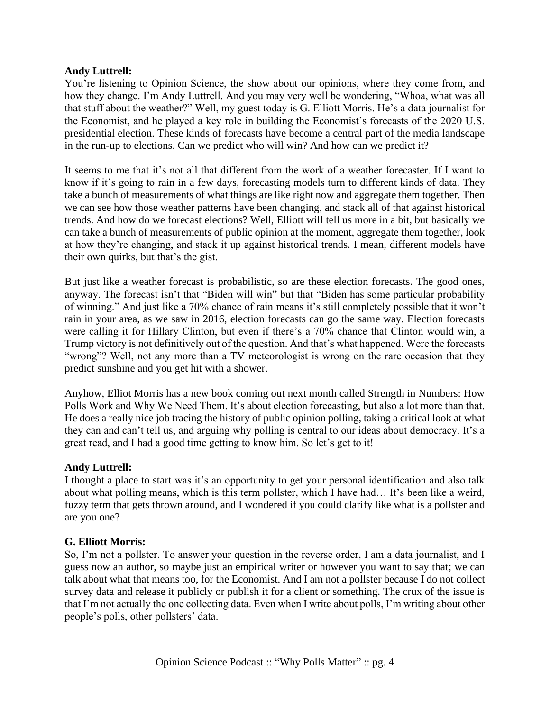#### **Andy Luttrell:**

You're listening to Opinion Science, the show about our opinions, where they come from, and how they change. I'm Andy Luttrell. And you may very well be wondering, "Whoa, what was all that stuff about the weather?" Well, my guest today is G. Elliott Morris. He's a data journalist for the Economist, and he played a key role in building the Economist's forecasts of the 2020 U.S. presidential election. These kinds of forecasts have become a central part of the media landscape in the run-up to elections. Can we predict who will win? And how can we predict it?

It seems to me that it's not all that different from the work of a weather forecaster. If I want to know if it's going to rain in a few days, forecasting models turn to different kinds of data. They take a bunch of measurements of what things are like right now and aggregate them together. Then we can see how those weather patterns have been changing, and stack all of that against historical trends. And how do we forecast elections? Well, Elliott will tell us more in a bit, but basically we can take a bunch of measurements of public opinion at the moment, aggregate them together, look at how they're changing, and stack it up against historical trends. I mean, different models have their own quirks, but that's the gist.

But just like a weather forecast is probabilistic, so are these election forecasts. The good ones, anyway. The forecast isn't that "Biden will win" but that "Biden has some particular probability of winning." And just like a 70% chance of rain means it's still completely possible that it won't rain in your area, as we saw in 2016, election forecasts can go the same way. Election forecasts were calling it for Hillary Clinton, but even if there's a 70% chance that Clinton would win, a Trump victory is not definitively out of the question. And that's what happened. Were the forecasts "wrong"? Well, not any more than a TV meteorologist is wrong on the rare occasion that they predict sunshine and you get hit with a shower.

Anyhow, Elliot Morris has a new book coming out next month called Strength in Numbers: How Polls Work and Why We Need Them. It's about election forecasting, but also a lot more than that. He does a really nice job tracing the history of public opinion polling, taking a critical look at what they can and can't tell us, and arguing why polling is central to our ideas about democracy. It's a great read, and I had a good time getting to know him. So let's get to it!

#### **Andy Luttrell:**

I thought a place to start was it's an opportunity to get your personal identification and also talk about what polling means, which is this term pollster, which I have had… It's been like a weird, fuzzy term that gets thrown around, and I wondered if you could clarify like what is a pollster and are you one?

#### **G. Elliott Morris:**

So, I'm not a pollster. To answer your question in the reverse order, I am a data journalist, and I guess now an author, so maybe just an empirical writer or however you want to say that; we can talk about what that means too, for the Economist. And I am not a pollster because I do not collect survey data and release it publicly or publish it for a client or something. The crux of the issue is that I'm not actually the one collecting data. Even when I write about polls, I'm writing about other people's polls, other pollsters' data.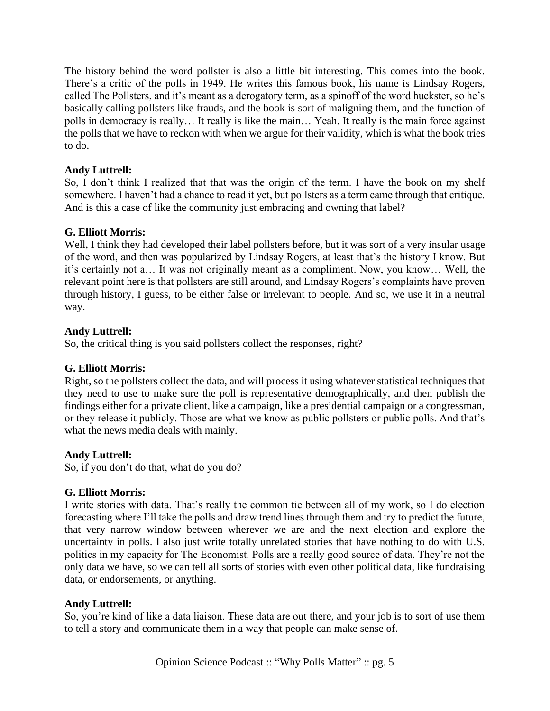The history behind the word pollster is also a little bit interesting. This comes into the book. There's a critic of the polls in 1949. He writes this famous book, his name is Lindsay Rogers, called The Pollsters, and it's meant as a derogatory term, as a spinoff of the word huckster, so he's basically calling pollsters like frauds, and the book is sort of maligning them, and the function of polls in democracy is really… It really is like the main… Yeah. It really is the main force against the polls that we have to reckon with when we argue for their validity, which is what the book tries to do.

# **Andy Luttrell:**

So, I don't think I realized that that was the origin of the term. I have the book on my shelf somewhere. I haven't had a chance to read it yet, but pollsters as a term came through that critique. And is this a case of like the community just embracing and owning that label?

# **G. Elliott Morris:**

Well, I think they had developed their label pollsters before, but it was sort of a very insular usage of the word, and then was popularized by Lindsay Rogers, at least that's the history I know. But it's certainly not a… It was not originally meant as a compliment. Now, you know… Well, the relevant point here is that pollsters are still around, and Lindsay Rogers's complaints have proven through history, I guess, to be either false or irrelevant to people. And so, we use it in a neutral way.

# **Andy Luttrell:**

So, the critical thing is you said pollsters collect the responses, right?

# **G. Elliott Morris:**

Right, so the pollsters collect the data, and will process it using whatever statistical techniques that they need to use to make sure the poll is representative demographically, and then publish the findings either for a private client, like a campaign, like a presidential campaign or a congressman, or they release it publicly. Those are what we know as public pollsters or public polls. And that's what the news media deals with mainly.

# **Andy Luttrell:**

So, if you don't do that, what do you do?

# **G. Elliott Morris:**

I write stories with data. That's really the common tie between all of my work, so I do election forecasting where I'll take the polls and draw trend lines through them and try to predict the future, that very narrow window between wherever we are and the next election and explore the uncertainty in polls. I also just write totally unrelated stories that have nothing to do with U.S. politics in my capacity for The Economist. Polls are a really good source of data. They're not the only data we have, so we can tell all sorts of stories with even other political data, like fundraising data, or endorsements, or anything.

# **Andy Luttrell:**

So, you're kind of like a data liaison. These data are out there, and your job is to sort of use them to tell a story and communicate them in a way that people can make sense of.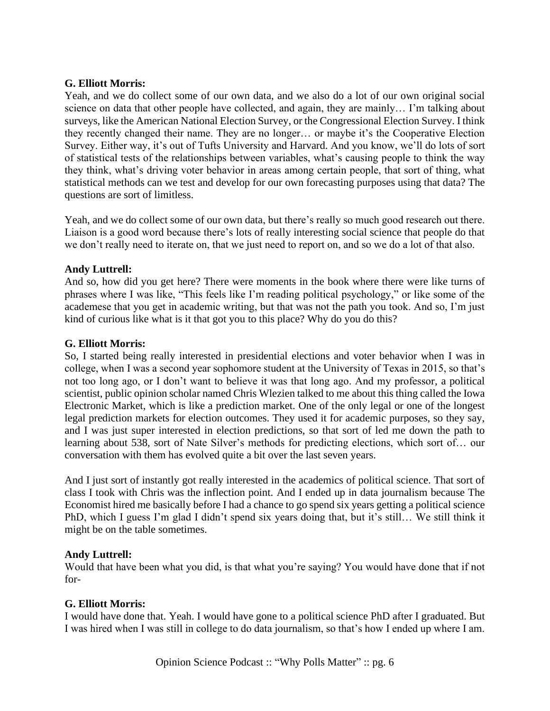# **G. Elliott Morris:**

Yeah, and we do collect some of our own data, and we also do a lot of our own original social science on data that other people have collected, and again, they are mainly… I'm talking about surveys, like the American National Election Survey, or the Congressional Election Survey. I think they recently changed their name. They are no longer… or maybe it's the Cooperative Election Survey. Either way, it's out of Tufts University and Harvard. And you know, we'll do lots of sort of statistical tests of the relationships between variables, what's causing people to think the way they think, what's driving voter behavior in areas among certain people, that sort of thing, what statistical methods can we test and develop for our own forecasting purposes using that data? The questions are sort of limitless.

Yeah, and we do collect some of our own data, but there's really so much good research out there. Liaison is a good word because there's lots of really interesting social science that people do that we don't really need to iterate on, that we just need to report on, and so we do a lot of that also.

# **Andy Luttrell:**

And so, how did you get here? There were moments in the book where there were like turns of phrases where I was like, "This feels like I'm reading political psychology," or like some of the academese that you get in academic writing, but that was not the path you took. And so, I'm just kind of curious like what is it that got you to this place? Why do you do this?

#### **G. Elliott Morris:**

So, I started being really interested in presidential elections and voter behavior when I was in college, when I was a second year sophomore student at the University of Texas in 2015, so that's not too long ago, or I don't want to believe it was that long ago. And my professor, a political scientist, public opinion scholar named Chris Wlezien talked to me about this thing called the Iowa Electronic Market, which is like a prediction market. One of the only legal or one of the longest legal prediction markets for election outcomes. They used it for academic purposes, so they say, and I was just super interested in election predictions, so that sort of led me down the path to learning about 538, sort of Nate Silver's methods for predicting elections, which sort of… our conversation with them has evolved quite a bit over the last seven years.

And I just sort of instantly got really interested in the academics of political science. That sort of class I took with Chris was the inflection point. And I ended up in data journalism because The Economist hired me basically before I had a chance to go spend six years getting a political science PhD, which I guess I'm glad I didn't spend six years doing that, but it's still… We still think it might be on the table sometimes.

#### **Andy Luttrell:**

Would that have been what you did, is that what you're saying? You would have done that if not for-

#### **G. Elliott Morris:**

I would have done that. Yeah. I would have gone to a political science PhD after I graduated. But I was hired when I was still in college to do data journalism, so that's how I ended up where I am.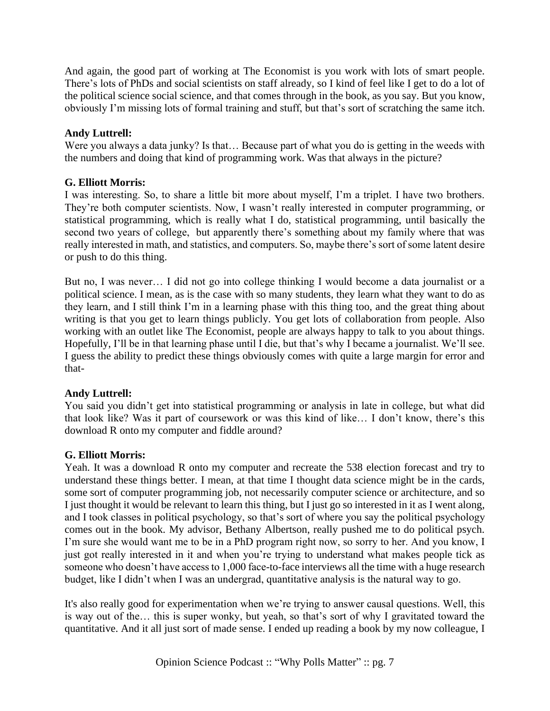And again, the good part of working at The Economist is you work with lots of smart people. There's lots of PhDs and social scientists on staff already, so I kind of feel like I get to do a lot of the political science social science, and that comes through in the book, as you say. But you know, obviously I'm missing lots of formal training and stuff, but that's sort of scratching the same itch.

# **Andy Luttrell:**

Were you always a data junky? Is that… Because part of what you do is getting in the weeds with the numbers and doing that kind of programming work. Was that always in the picture?

# **G. Elliott Morris:**

I was interesting. So, to share a little bit more about myself, I'm a triplet. I have two brothers. They're both computer scientists. Now, I wasn't really interested in computer programming, or statistical programming, which is really what I do, statistical programming, until basically the second two years of college, but apparently there's something about my family where that was really interested in math, and statistics, and computers. So, maybe there's sort of some latent desire or push to do this thing.

But no, I was never… I did not go into college thinking I would become a data journalist or a political science. I mean, as is the case with so many students, they learn what they want to do as they learn, and I still think I'm in a learning phase with this thing too, and the great thing about writing is that you get to learn things publicly. You get lots of collaboration from people. Also working with an outlet like The Economist, people are always happy to talk to you about things. Hopefully, I'll be in that learning phase until I die, but that's why I became a journalist. We'll see. I guess the ability to predict these things obviously comes with quite a large margin for error and that-

# **Andy Luttrell:**

You said you didn't get into statistical programming or analysis in late in college, but what did that look like? Was it part of coursework or was this kind of like… I don't know, there's this download R onto my computer and fiddle around?

# **G. Elliott Morris:**

Yeah. It was a download R onto my computer and recreate the 538 election forecast and try to understand these things better. I mean, at that time I thought data science might be in the cards, some sort of computer programming job, not necessarily computer science or architecture, and so I just thought it would be relevant to learn this thing, but I just go so interested in it as I went along, and I took classes in political psychology, so that's sort of where you say the political psychology comes out in the book. My advisor, Bethany Albertson, really pushed me to do political psych. I'm sure she would want me to be in a PhD program right now, so sorry to her. And you know, I just got really interested in it and when you're trying to understand what makes people tick as someone who doesn't have access to 1,000 face-to-face interviews all the time with a huge research budget, like I didn't when I was an undergrad, quantitative analysis is the natural way to go.

It's also really good for experimentation when we're trying to answer causal questions. Well, this is way out of the… this is super wonky, but yeah, so that's sort of why I gravitated toward the quantitative. And it all just sort of made sense. I ended up reading a book by my now colleague, I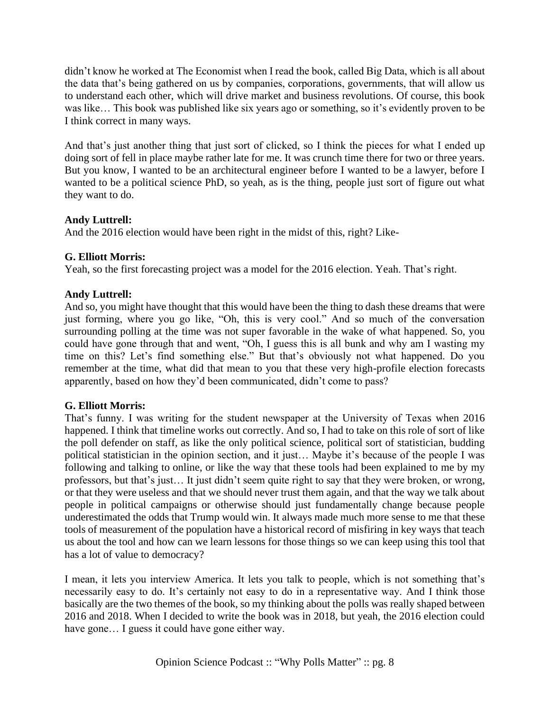didn't know he worked at The Economist when I read the book, called Big Data, which is all about the data that's being gathered on us by companies, corporations, governments, that will allow us to understand each other, which will drive market and business revolutions. Of course, this book was like… This book was published like six years ago or something, so it's evidently proven to be I think correct in many ways.

And that's just another thing that just sort of clicked, so I think the pieces for what I ended up doing sort of fell in place maybe rather late for me. It was crunch time there for two or three years. But you know, I wanted to be an architectural engineer before I wanted to be a lawyer, before I wanted to be a political science PhD, so yeah, as is the thing, people just sort of figure out what they want to do.

# **Andy Luttrell:**

And the 2016 election would have been right in the midst of this, right? Like-

# **G. Elliott Morris:**

Yeah, so the first forecasting project was a model for the 2016 election. Yeah. That's right.

# **Andy Luttrell:**

And so, you might have thought that this would have been the thing to dash these dreams that were just forming, where you go like, "Oh, this is very cool." And so much of the conversation surrounding polling at the time was not super favorable in the wake of what happened. So, you could have gone through that and went, "Oh, I guess this is all bunk and why am I wasting my time on this? Let's find something else." But that's obviously not what happened. Do you remember at the time, what did that mean to you that these very high-profile election forecasts apparently, based on how they'd been communicated, didn't come to pass?

# **G. Elliott Morris:**

That's funny. I was writing for the student newspaper at the University of Texas when 2016 happened. I think that timeline works out correctly. And so, I had to take on this role of sort of like the poll defender on staff, as like the only political science, political sort of statistician, budding political statistician in the opinion section, and it just… Maybe it's because of the people I was following and talking to online, or like the way that these tools had been explained to me by my professors, but that's just… It just didn't seem quite right to say that they were broken, or wrong, or that they were useless and that we should never trust them again, and that the way we talk about people in political campaigns or otherwise should just fundamentally change because people underestimated the odds that Trump would win. It always made much more sense to me that these tools of measurement of the population have a historical record of misfiring in key ways that teach us about the tool and how can we learn lessons for those things so we can keep using this tool that has a lot of value to democracy?

I mean, it lets you interview America. It lets you talk to people, which is not something that's necessarily easy to do. It's certainly not easy to do in a representative way. And I think those basically are the two themes of the book, so my thinking about the polls was really shaped between 2016 and 2018. When I decided to write the book was in 2018, but yeah, the 2016 election could have gone... I guess it could have gone either way.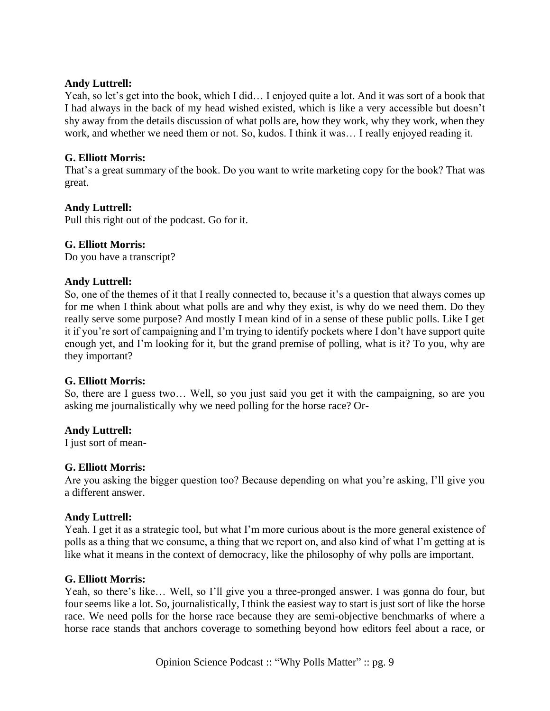## **Andy Luttrell:**

Yeah, so let's get into the book, which I did… I enjoyed quite a lot. And it was sort of a book that I had always in the back of my head wished existed, which is like a very accessible but doesn't shy away from the details discussion of what polls are, how they work, why they work, when they work, and whether we need them or not. So, kudos. I think it was… I really enjoyed reading it.

# **G. Elliott Morris:**

That's a great summary of the book. Do you want to write marketing copy for the book? That was great.

# **Andy Luttrell:**

Pull this right out of the podcast. Go for it.

#### **G. Elliott Morris:**

Do you have a transcript?

#### **Andy Luttrell:**

So, one of the themes of it that I really connected to, because it's a question that always comes up for me when I think about what polls are and why they exist, is why do we need them. Do they really serve some purpose? And mostly I mean kind of in a sense of these public polls. Like I get it if you're sort of campaigning and I'm trying to identify pockets where I don't have support quite enough yet, and I'm looking for it, but the grand premise of polling, what is it? To you, why are they important?

#### **G. Elliott Morris:**

So, there are I guess two… Well, so you just said you get it with the campaigning, so are you asking me journalistically why we need polling for the horse race? Or-

#### **Andy Luttrell:**

I just sort of mean-

#### **G. Elliott Morris:**

Are you asking the bigger question too? Because depending on what you're asking, I'll give you a different answer.

#### **Andy Luttrell:**

Yeah. I get it as a strategic tool, but what I'm more curious about is the more general existence of polls as a thing that we consume, a thing that we report on, and also kind of what I'm getting at is like what it means in the context of democracy, like the philosophy of why polls are important.

#### **G. Elliott Morris:**

Yeah, so there's like... Well, so I'll give you a three-pronged answer. I was gonna do four, but four seems like a lot. So, journalistically, I think the easiest way to start is just sort of like the horse race. We need polls for the horse race because they are semi-objective benchmarks of where a horse race stands that anchors coverage to something beyond how editors feel about a race, or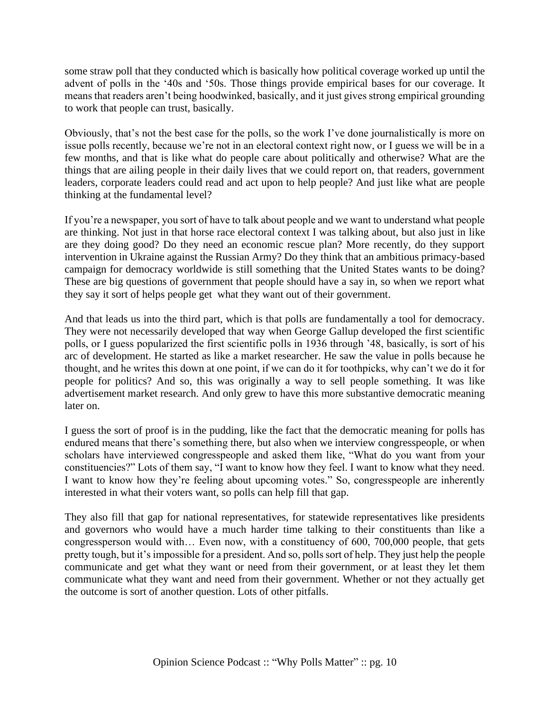some straw poll that they conducted which is basically how political coverage worked up until the advent of polls in the '40s and '50s. Those things provide empirical bases for our coverage. It means that readers aren't being hoodwinked, basically, and it just gives strong empirical grounding to work that people can trust, basically.

Obviously, that's not the best case for the polls, so the work I've done journalistically is more on issue polls recently, because we're not in an electoral context right now, or I guess we will be in a few months, and that is like what do people care about politically and otherwise? What are the things that are ailing people in their daily lives that we could report on, that readers, government leaders, corporate leaders could read and act upon to help people? And just like what are people thinking at the fundamental level?

If you're a newspaper, you sort of have to talk about people and we want to understand what people are thinking. Not just in that horse race electoral context I was talking about, but also just in like are they doing good? Do they need an economic rescue plan? More recently, do they support intervention in Ukraine against the Russian Army? Do they think that an ambitious primacy-based campaign for democracy worldwide is still something that the United States wants to be doing? These are big questions of government that people should have a say in, so when we report what they say it sort of helps people get what they want out of their government.

And that leads us into the third part, which is that polls are fundamentally a tool for democracy. They were not necessarily developed that way when George Gallup developed the first scientific polls, or I guess popularized the first scientific polls in 1936 through '48, basically, is sort of his arc of development. He started as like a market researcher. He saw the value in polls because he thought, and he writes this down at one point, if we can do it for toothpicks, why can't we do it for people for politics? And so, this was originally a way to sell people something. It was like advertisement market research. And only grew to have this more substantive democratic meaning later on.

I guess the sort of proof is in the pudding, like the fact that the democratic meaning for polls has endured means that there's something there, but also when we interview congresspeople, or when scholars have interviewed congresspeople and asked them like, "What do you want from your constituencies?" Lots of them say, "I want to know how they feel. I want to know what they need. I want to know how they're feeling about upcoming votes." So, congresspeople are inherently interested in what their voters want, so polls can help fill that gap.

They also fill that gap for national representatives, for statewide representatives like presidents and governors who would have a much harder time talking to their constituents than like a congressperson would with… Even now, with a constituency of 600, 700,000 people, that gets pretty tough, but it's impossible for a president. And so, polls sort of help. They just help the people communicate and get what they want or need from their government, or at least they let them communicate what they want and need from their government. Whether or not they actually get the outcome is sort of another question. Lots of other pitfalls.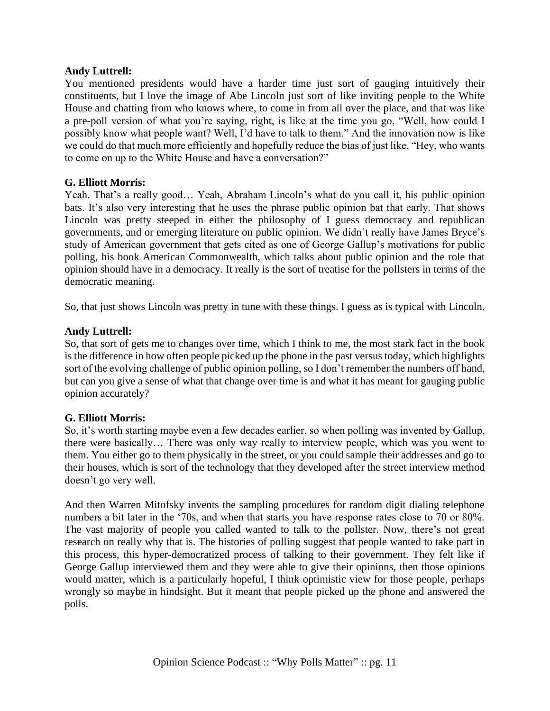## **Andy Luttrell:**

You mentioned presidents would have a harder time just sort of gauging intuitively their constituents, but I love the image of Abe Lincoln just sort of like inviting people to the White House and chatting from who knows where, to come in from all over the place, and that was like a pre-poll version of what you're saying, right, is like at the time you go, "Well, how could I possibly know what people want? Well, I'd have to talk to them." And the innovation now is like we could do that much more efficiently and hopefully reduce the bias of just like, "Hey, who wants to come on up to the White House and have a conversation?"

# **G. Elliott Morris:**

Yeah. That's a really good… Yeah, Abraham Lincoln's what do you call it, his public opinion bats. It's also very interesting that he uses the phrase public opinion bat that early. That shows Lincoln was pretty steeped in either the philosophy of I guess democracy and republican governments, and or emerging literature on public opinion. We didn't really have James Bryce's study of American government that gets cited as one of George Gallup's motivations for public polling, his book American Commonwealth, which talks about public opinion and the role that opinion should have in a democracy. It really is the sort of treatise for the pollsters in terms of the democratic meaning.

So, that just shows Lincoln was pretty in tune with these things. I guess as is typical with Lincoln.

# **Andy Luttrell:**

So, that sort of gets me to changes over time, which I think to me, the most stark fact in the book is the difference in how often people picked up the phone in the past versus today, which highlights sort of the evolving challenge of public opinion polling, so I don't remember the numbers off hand, but can you give a sense of what that change over time is and what it has meant for gauging public opinion accurately?

#### **G. Elliott Morris:**

So, it's worth starting maybe even a few decades earlier, so when polling was invented by Gallup, there were basically… There was only way really to interview people, which was you went to them. You either go to them physically in the street, or you could sample their addresses and go to their houses, which is sort of the technology that they developed after the street interview method doesn't go very well.

And then Warren Mitofsky invents the sampling procedures for random digit dialing telephone numbers a bit later in the '70s, and when that starts you have response rates close to 70 or 80%. The vast majority of people you called wanted to talk to the pollster. Now, there's not great research on really why that is. The histories of polling suggest that people wanted to take part in this process, this hyper-democratized process of talking to their government. They felt like if George Gallup interviewed them and they were able to give their opinions, then those opinions would matter, which is a particularly hopeful, I think optimistic view for those people, perhaps wrongly so maybe in hindsight. But it meant that people picked up the phone and answered the polls.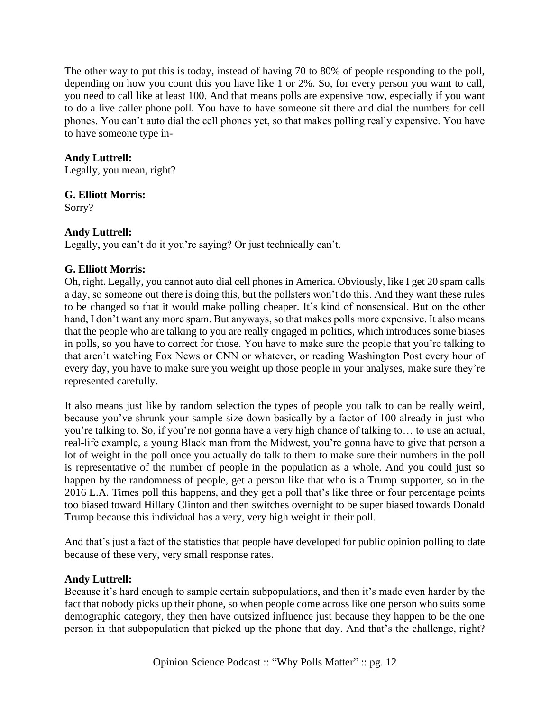The other way to put this is today, instead of having 70 to 80% of people responding to the poll, depending on how you count this you have like 1 or 2%. So, for every person you want to call, you need to call like at least 100. And that means polls are expensive now, especially if you want to do a live caller phone poll. You have to have someone sit there and dial the numbers for cell phones. You can't auto dial the cell phones yet, so that makes polling really expensive. You have to have someone type in-

# **Andy Luttrell:**

Legally, you mean, right?

# **G. Elliott Morris:**

Sorry?

# **Andy Luttrell:**

Legally, you can't do it you're saying? Or just technically can't.

# **G. Elliott Morris:**

Oh, right. Legally, you cannot auto dial cell phones in America. Obviously, like I get 20 spam calls a day, so someone out there is doing this, but the pollsters won't do this. And they want these rules to be changed so that it would make polling cheaper. It's kind of nonsensical. But on the other hand, I don't want any more spam. But anyways, so that makes polls more expensive. It also means that the people who are talking to you are really engaged in politics, which introduces some biases in polls, so you have to correct for those. You have to make sure the people that you're talking to that aren't watching Fox News or CNN or whatever, or reading Washington Post every hour of every day, you have to make sure you weight up those people in your analyses, make sure they're represented carefully.

It also means just like by random selection the types of people you talk to can be really weird, because you've shrunk your sample size down basically by a factor of 100 already in just who you're talking to. So, if you're not gonna have a very high chance of talking to… to use an actual, real-life example, a young Black man from the Midwest, you're gonna have to give that person a lot of weight in the poll once you actually do talk to them to make sure their numbers in the poll is representative of the number of people in the population as a whole. And you could just so happen by the randomness of people, get a person like that who is a Trump supporter, so in the 2016 L.A. Times poll this happens, and they get a poll that's like three or four percentage points too biased toward Hillary Clinton and then switches overnight to be super biased towards Donald Trump because this individual has a very, very high weight in their poll.

And that's just a fact of the statistics that people have developed for public opinion polling to date because of these very, very small response rates.

# **Andy Luttrell:**

Because it's hard enough to sample certain subpopulations, and then it's made even harder by the fact that nobody picks up their phone, so when people come across like one person who suits some demographic category, they then have outsized influence just because they happen to be the one person in that subpopulation that picked up the phone that day. And that's the challenge, right?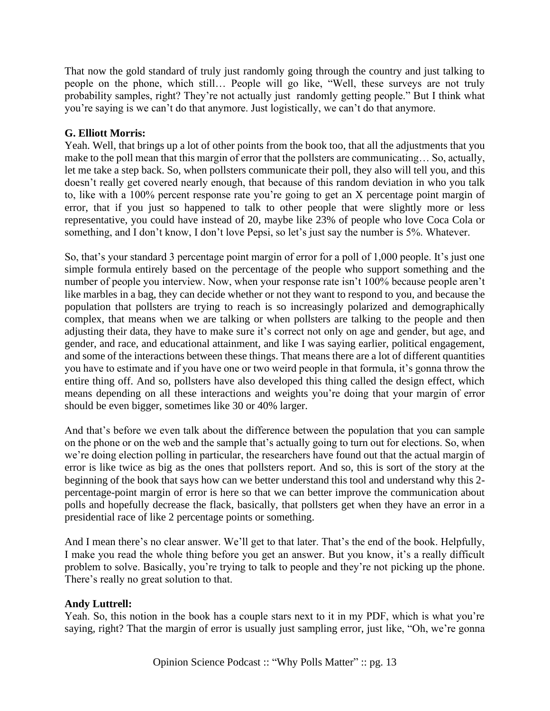That now the gold standard of truly just randomly going through the country and just talking to people on the phone, which still… People will go like, "Well, these surveys are not truly probability samples, right? They're not actually just randomly getting people." But I think what you're saying is we can't do that anymore. Just logistically, we can't do that anymore.

# **G. Elliott Morris:**

Yeah. Well, that brings up a lot of other points from the book too, that all the adjustments that you make to the poll mean that this margin of error that the pollsters are communicating… So, actually, let me take a step back. So, when pollsters communicate their poll, they also will tell you, and this doesn't really get covered nearly enough, that because of this random deviation in who you talk to, like with a 100% percent response rate you're going to get an X percentage point margin of error, that if you just so happened to talk to other people that were slightly more or less representative, you could have instead of 20, maybe like 23% of people who love Coca Cola or something, and I don't know, I don't love Pepsi, so let's just say the number is 5%. Whatever.

So, that's your standard 3 percentage point margin of error for a poll of 1,000 people. It's just one simple formula entirely based on the percentage of the people who support something and the number of people you interview. Now, when your response rate isn't 100% because people aren't like marbles in a bag, they can decide whether or not they want to respond to you, and because the population that pollsters are trying to reach is so increasingly polarized and demographically complex, that means when we are talking or when pollsters are talking to the people and then adjusting their data, they have to make sure it's correct not only on age and gender, but age, and gender, and race, and educational attainment, and like I was saying earlier, political engagement, and some of the interactions between these things. That means there are a lot of different quantities you have to estimate and if you have one or two weird people in that formula, it's gonna throw the entire thing off. And so, pollsters have also developed this thing called the design effect, which means depending on all these interactions and weights you're doing that your margin of error should be even bigger, sometimes like 30 or 40% larger.

And that's before we even talk about the difference between the population that you can sample on the phone or on the web and the sample that's actually going to turn out for elections. So, when we're doing election polling in particular, the researchers have found out that the actual margin of error is like twice as big as the ones that pollsters report. And so, this is sort of the story at the beginning of the book that says how can we better understand this tool and understand why this 2 percentage-point margin of error is here so that we can better improve the communication about polls and hopefully decrease the flack, basically, that pollsters get when they have an error in a presidential race of like 2 percentage points or something.

And I mean there's no clear answer. We'll get to that later. That's the end of the book. Helpfully, I make you read the whole thing before you get an answer. But you know, it's a really difficult problem to solve. Basically, you're trying to talk to people and they're not picking up the phone. There's really no great solution to that.

#### **Andy Luttrell:**

Yeah. So, this notion in the book has a couple stars next to it in my PDF, which is what you're saying, right? That the margin of error is usually just sampling error, just like, "Oh, we're gonna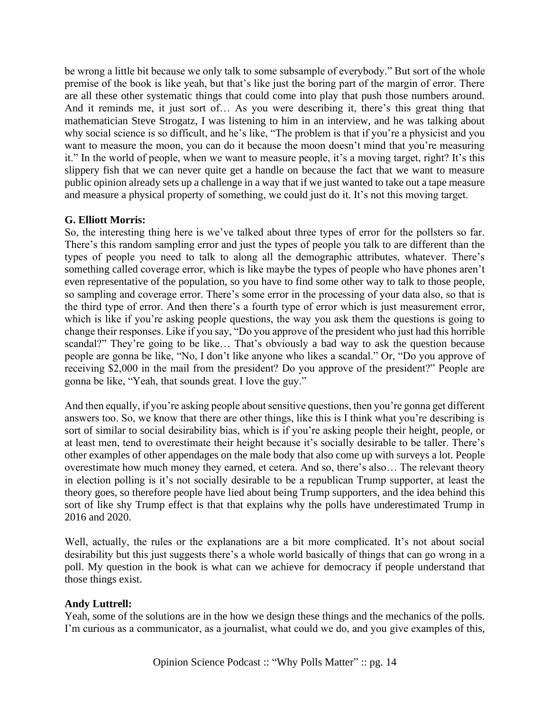be wrong a little bit because we only talk to some subsample of everybody." But sort of the whole premise of the book is like yeah, but that's like just the boring part of the margin of error. There are all these other systematic things that could come into play that push those numbers around. And it reminds me, it just sort of… As you were describing it, there's this great thing that mathematician Steve Strogatz, I was listening to him in an interview, and he was talking about why social science is so difficult, and he's like, "The problem is that if you're a physicist and you want to measure the moon, you can do it because the moon doesn't mind that you're measuring it." In the world of people, when we want to measure people, it's a moving target, right? It's this slippery fish that we can never quite get a handle on because the fact that we want to measure public opinion already sets up a challenge in a way that if we just wanted to take out a tape measure and measure a physical property of something, we could just do it. It's not this moving target.

# **G. Elliott Morris:**

So, the interesting thing here is we've talked about three types of error for the pollsters so far. There's this random sampling error and just the types of people you talk to are different than the types of people you need to talk to along all the demographic attributes, whatever. There's something called coverage error, which is like maybe the types of people who have phones aren't even representative of the population, so you have to find some other way to talk to those people, so sampling and coverage error. There's some error in the processing of your data also, so that is the third type of error. And then there's a fourth type of error which is just measurement error, which is like if you're asking people questions, the way you ask them the questions is going to change their responses. Like if you say, "Do you approve of the president who just had this horrible scandal?" They're going to be like... That's obviously a bad way to ask the question because people are gonna be like, "No, I don't like anyone who likes a scandal." Or, "Do you approve of receiving \$2,000 in the mail from the president? Do you approve of the president?" People are gonna be like, "Yeah, that sounds great. I love the guy."

And then equally, if you're asking people about sensitive questions, then you're gonna get different answers too. So, we know that there are other things, like this is I think what you're describing is sort of similar to social desirability bias, which is if you're asking people their height, people, or at least men, tend to overestimate their height because it's socially desirable to be taller. There's other examples of other appendages on the male body that also come up with surveys a lot. People overestimate how much money they earned, et cetera. And so, there's also… The relevant theory in election polling is it's not socially desirable to be a republican Trump supporter, at least the theory goes, so therefore people have lied about being Trump supporters, and the idea behind this sort of like shy Trump effect is that that explains why the polls have underestimated Trump in 2016 and 2020.

Well, actually, the rules or the explanations are a bit more complicated. It's not about social desirability but this just suggests there's a whole world basically of things that can go wrong in a poll. My question in the book is what can we achieve for democracy if people understand that those things exist.

# **Andy Luttrell:**

Yeah, some of the solutions are in the how we design these things and the mechanics of the polls. I'm curious as a communicator, as a journalist, what could we do, and you give examples of this,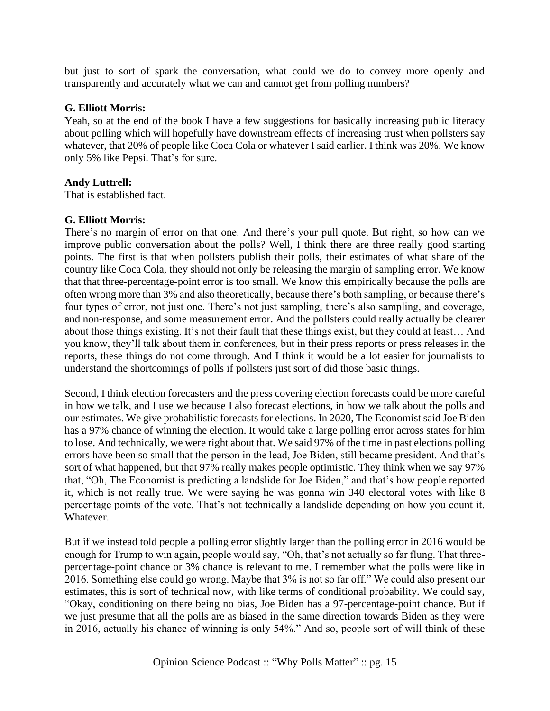but just to sort of spark the conversation, what could we do to convey more openly and transparently and accurately what we can and cannot get from polling numbers?

# **G. Elliott Morris:**

Yeah, so at the end of the book I have a few suggestions for basically increasing public literacy about polling which will hopefully have downstream effects of increasing trust when pollsters say whatever, that 20% of people like Coca Cola or whatever I said earlier. I think was 20%. We know only 5% like Pepsi. That's for sure.

# **Andy Luttrell:**

That is established fact.

# **G. Elliott Morris:**

There's no margin of error on that one. And there's your pull quote. But right, so how can we improve public conversation about the polls? Well, I think there are three really good starting points. The first is that when pollsters publish their polls, their estimates of what share of the country like Coca Cola, they should not only be releasing the margin of sampling error. We know that that three-percentage-point error is too small. We know this empirically because the polls are often wrong more than 3% and also theoretically, because there's both sampling, or because there's four types of error, not just one. There's not just sampling, there's also sampling, and coverage, and non-response, and some measurement error. And the pollsters could really actually be clearer about those things existing. It's not their fault that these things exist, but they could at least… And you know, they'll talk about them in conferences, but in their press reports or press releases in the reports, these things do not come through. And I think it would be a lot easier for journalists to understand the shortcomings of polls if pollsters just sort of did those basic things.

Second, I think election forecasters and the press covering election forecasts could be more careful in how we talk, and I use we because I also forecast elections, in how we talk about the polls and our estimates. We give probabilistic forecasts for elections. In 2020, The Economist said Joe Biden has a 97% chance of winning the election. It would take a large polling error across states for him to lose. And technically, we were right about that. We said 97% of the time in past elections polling errors have been so small that the person in the lead, Joe Biden, still became president. And that's sort of what happened, but that 97% really makes people optimistic. They think when we say 97% that, "Oh, The Economist is predicting a landslide for Joe Biden," and that's how people reported it, which is not really true. We were saying he was gonna win 340 electoral votes with like 8 percentage points of the vote. That's not technically a landslide depending on how you count it. Whatever.

But if we instead told people a polling error slightly larger than the polling error in 2016 would be enough for Trump to win again, people would say, "Oh, that's not actually so far flung. That threepercentage-point chance or 3% chance is relevant to me. I remember what the polls were like in 2016. Something else could go wrong. Maybe that 3% is not so far off." We could also present our estimates, this is sort of technical now, with like terms of conditional probability. We could say, "Okay, conditioning on there being no bias, Joe Biden has a 97-percentage-point chance. But if we just presume that all the polls are as biased in the same direction towards Biden as they were in 2016, actually his chance of winning is only 54%." And so, people sort of will think of these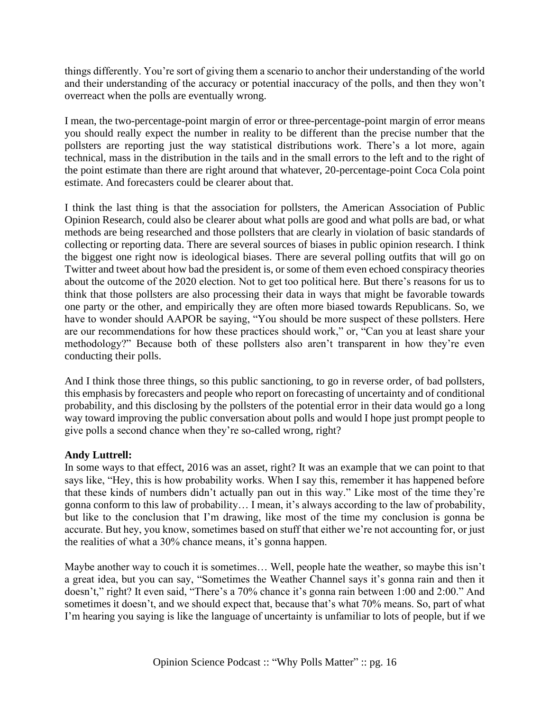things differently. You're sort of giving them a scenario to anchor their understanding of the world and their understanding of the accuracy or potential inaccuracy of the polls, and then they won't overreact when the polls are eventually wrong.

I mean, the two-percentage-point margin of error or three-percentage-point margin of error means you should really expect the number in reality to be different than the precise number that the pollsters are reporting just the way statistical distributions work. There's a lot more, again technical, mass in the distribution in the tails and in the small errors to the left and to the right of the point estimate than there are right around that whatever, 20-percentage-point Coca Cola point estimate. And forecasters could be clearer about that.

I think the last thing is that the association for pollsters, the American Association of Public Opinion Research, could also be clearer about what polls are good and what polls are bad, or what methods are being researched and those pollsters that are clearly in violation of basic standards of collecting or reporting data. There are several sources of biases in public opinion research. I think the biggest one right now is ideological biases. There are several polling outfits that will go on Twitter and tweet about how bad the president is, or some of them even echoed conspiracy theories about the outcome of the 2020 election. Not to get too political here. But there's reasons for us to think that those pollsters are also processing their data in ways that might be favorable towards one party or the other, and empirically they are often more biased towards Republicans. So, we have to wonder should AAPOR be saying, "You should be more suspect of these pollsters. Here are our recommendations for how these practices should work," or, "Can you at least share your methodology?" Because both of these pollsters also aren't transparent in how they're even conducting their polls.

And I think those three things, so this public sanctioning, to go in reverse order, of bad pollsters, this emphasis by forecasters and people who report on forecasting of uncertainty and of conditional probability, and this disclosing by the pollsters of the potential error in their data would go a long way toward improving the public conversation about polls and would I hope just prompt people to give polls a second chance when they're so-called wrong, right?

# **Andy Luttrell:**

In some ways to that effect, 2016 was an asset, right? It was an example that we can point to that says like, "Hey, this is how probability works. When I say this, remember it has happened before that these kinds of numbers didn't actually pan out in this way." Like most of the time they're gonna conform to this law of probability… I mean, it's always according to the law of probability, but like to the conclusion that I'm drawing, like most of the time my conclusion is gonna be accurate. But hey, you know, sometimes based on stuff that either we're not accounting for, or just the realities of what a 30% chance means, it's gonna happen.

Maybe another way to couch it is sometimes… Well, people hate the weather, so maybe this isn't a great idea, but you can say, "Sometimes the Weather Channel says it's gonna rain and then it doesn't," right? It even said, "There's a 70% chance it's gonna rain between 1:00 and 2:00." And sometimes it doesn't, and we should expect that, because that's what 70% means. So, part of what I'm hearing you saying is like the language of uncertainty is unfamiliar to lots of people, but if we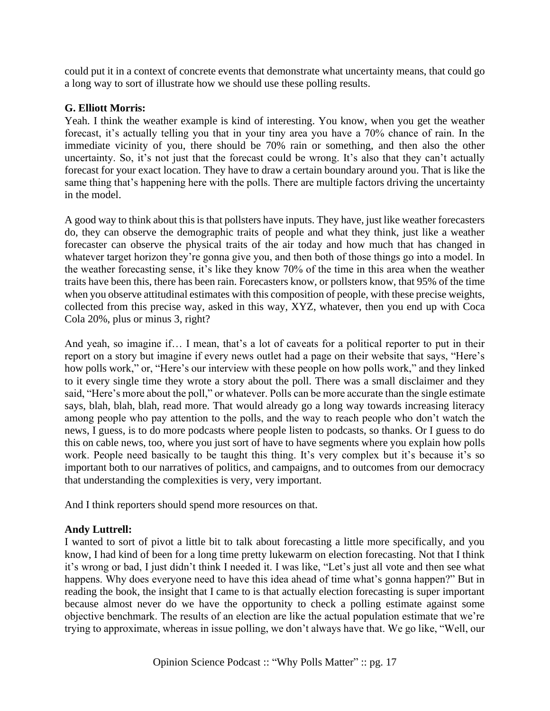could put it in a context of concrete events that demonstrate what uncertainty means, that could go a long way to sort of illustrate how we should use these polling results.

# **G. Elliott Morris:**

Yeah. I think the weather example is kind of interesting. You know, when you get the weather forecast, it's actually telling you that in your tiny area you have a 70% chance of rain. In the immediate vicinity of you, there should be 70% rain or something, and then also the other uncertainty. So, it's not just that the forecast could be wrong. It's also that they can't actually forecast for your exact location. They have to draw a certain boundary around you. That is like the same thing that's happening here with the polls. There are multiple factors driving the uncertainty in the model.

A good way to think about this is that pollsters have inputs. They have, just like weather forecasters do, they can observe the demographic traits of people and what they think, just like a weather forecaster can observe the physical traits of the air today and how much that has changed in whatever target horizon they're gonna give you, and then both of those things go into a model. In the weather forecasting sense, it's like they know 70% of the time in this area when the weather traits have been this, there has been rain. Forecasters know, or pollsters know, that 95% of the time when you observe attitudinal estimates with this composition of people, with these precise weights, collected from this precise way, asked in this way, XYZ, whatever, then you end up with Coca Cola 20%, plus or minus 3, right?

And yeah, so imagine if… I mean, that's a lot of caveats for a political reporter to put in their report on a story but imagine if every news outlet had a page on their website that says, "Here's how polls work," or, "Here's our interview with these people on how polls work," and they linked to it every single time they wrote a story about the poll. There was a small disclaimer and they said, "Here's more about the poll," or whatever. Polls can be more accurate than the single estimate says, blah, blah, blah, read more. That would already go a long way towards increasing literacy among people who pay attention to the polls, and the way to reach people who don't watch the news, I guess, is to do more podcasts where people listen to podcasts, so thanks. Or I guess to do this on cable news, too, where you just sort of have to have segments where you explain how polls work. People need basically to be taught this thing. It's very complex but it's because it's so important both to our narratives of politics, and campaigns, and to outcomes from our democracy that understanding the complexities is very, very important.

And I think reporters should spend more resources on that.

# **Andy Luttrell:**

I wanted to sort of pivot a little bit to talk about forecasting a little more specifically, and you know, I had kind of been for a long time pretty lukewarm on election forecasting. Not that I think it's wrong or bad, I just didn't think I needed it. I was like, "Let's just all vote and then see what happens. Why does everyone need to have this idea ahead of time what's gonna happen?" But in reading the book, the insight that I came to is that actually election forecasting is super important because almost never do we have the opportunity to check a polling estimate against some objective benchmark. The results of an election are like the actual population estimate that we're trying to approximate, whereas in issue polling, we don't always have that. We go like, "Well, our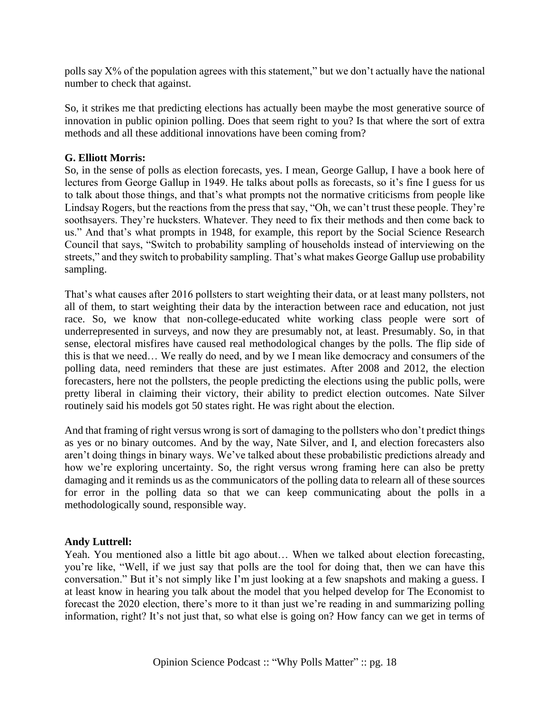polls say X% of the population agrees with this statement," but we don't actually have the national number to check that against.

So, it strikes me that predicting elections has actually been maybe the most generative source of innovation in public opinion polling. Does that seem right to you? Is that where the sort of extra methods and all these additional innovations have been coming from?

# **G. Elliott Morris:**

So, in the sense of polls as election forecasts, yes. I mean, George Gallup, I have a book here of lectures from George Gallup in 1949. He talks about polls as forecasts, so it's fine I guess for us to talk about those things, and that's what prompts not the normative criticisms from people like Lindsay Rogers, but the reactions from the press that say, "Oh, we can't trust these people. They're soothsayers. They're hucksters. Whatever. They need to fix their methods and then come back to us." And that's what prompts in 1948, for example, this report by the Social Science Research Council that says, "Switch to probability sampling of households instead of interviewing on the streets," and they switch to probability sampling. That's what makes George Gallup use probability sampling.

That's what causes after 2016 pollsters to start weighting their data, or at least many pollsters, not all of them, to start weighting their data by the interaction between race and education, not just race. So, we know that non-college-educated white working class people were sort of underrepresented in surveys, and now they are presumably not, at least. Presumably. So, in that sense, electoral misfires have caused real methodological changes by the polls. The flip side of this is that we need… We really do need, and by we I mean like democracy and consumers of the polling data, need reminders that these are just estimates. After 2008 and 2012, the election forecasters, here not the pollsters, the people predicting the elections using the public polls, were pretty liberal in claiming their victory, their ability to predict election outcomes. Nate Silver routinely said his models got 50 states right. He was right about the election.

And that framing of right versus wrong is sort of damaging to the pollsters who don't predict things as yes or no binary outcomes. And by the way, Nate Silver, and I, and election forecasters also aren't doing things in binary ways. We've talked about these probabilistic predictions already and how we're exploring uncertainty. So, the right versus wrong framing here can also be pretty damaging and it reminds us as the communicators of the polling data to relearn all of these sources for error in the polling data so that we can keep communicating about the polls in a methodologically sound, responsible way.

# **Andy Luttrell:**

Yeah. You mentioned also a little bit ago about… When we talked about election forecasting, you're like, "Well, if we just say that polls are the tool for doing that, then we can have this conversation." But it's not simply like I'm just looking at a few snapshots and making a guess. I at least know in hearing you talk about the model that you helped develop for The Economist to forecast the 2020 election, there's more to it than just we're reading in and summarizing polling information, right? It's not just that, so what else is going on? How fancy can we get in terms of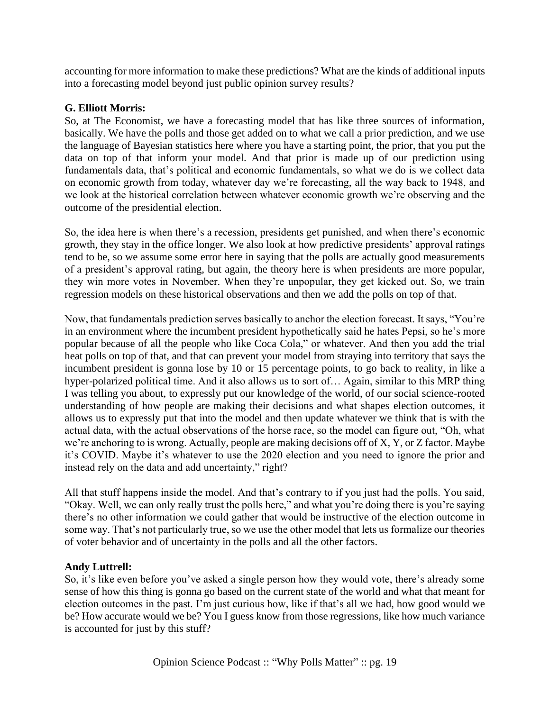accounting for more information to make these predictions? What are the kinds of additional inputs into a forecasting model beyond just public opinion survey results?

# **G. Elliott Morris:**

So, at The Economist, we have a forecasting model that has like three sources of information, basically. We have the polls and those get added on to what we call a prior prediction, and we use the language of Bayesian statistics here where you have a starting point, the prior, that you put the data on top of that inform your model. And that prior is made up of our prediction using fundamentals data, that's political and economic fundamentals, so what we do is we collect data on economic growth from today, whatever day we're forecasting, all the way back to 1948, and we look at the historical correlation between whatever economic growth we're observing and the outcome of the presidential election.

So, the idea here is when there's a recession, presidents get punished, and when there's economic growth, they stay in the office longer. We also look at how predictive presidents' approval ratings tend to be, so we assume some error here in saying that the polls are actually good measurements of a president's approval rating, but again, the theory here is when presidents are more popular, they win more votes in November. When they're unpopular, they get kicked out. So, we train regression models on these historical observations and then we add the polls on top of that.

Now, that fundamentals prediction serves basically to anchor the election forecast. It says, "You're in an environment where the incumbent president hypothetically said he hates Pepsi, so he's more popular because of all the people who like Coca Cola," or whatever. And then you add the trial heat polls on top of that, and that can prevent your model from straying into territory that says the incumbent president is gonna lose by 10 or 15 percentage points, to go back to reality, in like a hyper-polarized political time. And it also allows us to sort of… Again, similar to this MRP thing I was telling you about, to expressly put our knowledge of the world, of our social science-rooted understanding of how people are making their decisions and what shapes election outcomes, it allows us to expressly put that into the model and then update whatever we think that is with the actual data, with the actual observations of the horse race, so the model can figure out, "Oh, what we're anchoring to is wrong. Actually, people are making decisions off of X, Y, or Z factor. Maybe it's COVID. Maybe it's whatever to use the 2020 election and you need to ignore the prior and instead rely on the data and add uncertainty," right?

All that stuff happens inside the model. And that's contrary to if you just had the polls. You said, "Okay. Well, we can only really trust the polls here," and what you're doing there is you're saying there's no other information we could gather that would be instructive of the election outcome in some way. That's not particularly true, so we use the other model that lets us formalize our theories of voter behavior and of uncertainty in the polls and all the other factors.

# **Andy Luttrell:**

So, it's like even before you've asked a single person how they would vote, there's already some sense of how this thing is gonna go based on the current state of the world and what that meant for election outcomes in the past. I'm just curious how, like if that's all we had, how good would we be? How accurate would we be? You I guess know from those regressions, like how much variance is accounted for just by this stuff?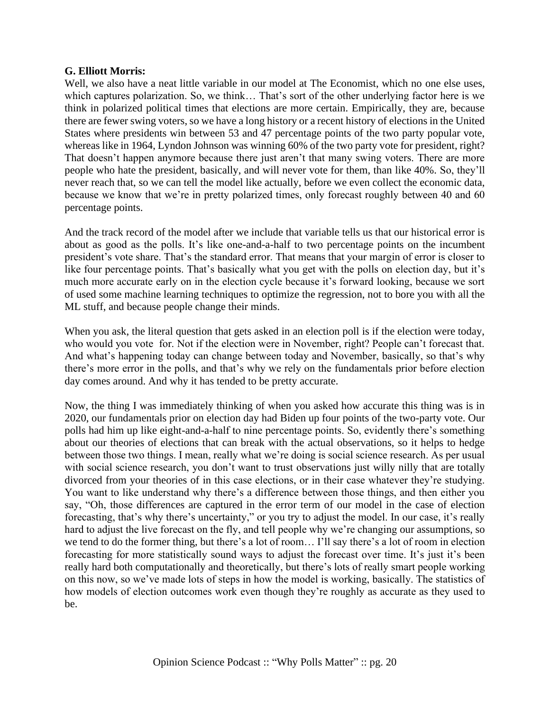#### **G. Elliott Morris:**

Well, we also have a neat little variable in our model at The Economist, which no one else uses, which captures polarization. So, we think… That's sort of the other underlying factor here is we think in polarized political times that elections are more certain. Empirically, they are, because there are fewer swing voters, so we have a long history or a recent history of elections in the United States where presidents win between 53 and 47 percentage points of the two party popular vote, whereas like in 1964, Lyndon Johnson was winning 60% of the two party vote for president, right? That doesn't happen anymore because there just aren't that many swing voters. There are more people who hate the president, basically, and will never vote for them, than like 40%. So, they'll never reach that, so we can tell the model like actually, before we even collect the economic data, because we know that we're in pretty polarized times, only forecast roughly between 40 and 60 percentage points.

And the track record of the model after we include that variable tells us that our historical error is about as good as the polls. It's like one-and-a-half to two percentage points on the incumbent president's vote share. That's the standard error. That means that your margin of error is closer to like four percentage points. That's basically what you get with the polls on election day, but it's much more accurate early on in the election cycle because it's forward looking, because we sort of used some machine learning techniques to optimize the regression, not to bore you with all the ML stuff, and because people change their minds.

When you ask, the literal question that gets asked in an election poll is if the election were today, who would you vote for. Not if the election were in November, right? People can't forecast that. And what's happening today can change between today and November, basically, so that's why there's more error in the polls, and that's why we rely on the fundamentals prior before election day comes around. And why it has tended to be pretty accurate.

Now, the thing I was immediately thinking of when you asked how accurate this thing was is in 2020, our fundamentals prior on election day had Biden up four points of the two-party vote. Our polls had him up like eight-and-a-half to nine percentage points. So, evidently there's something about our theories of elections that can break with the actual observations, so it helps to hedge between those two things. I mean, really what we're doing is social science research. As per usual with social science research, you don't want to trust observations just willy nilly that are totally divorced from your theories of in this case elections, or in their case whatever they're studying. You want to like understand why there's a difference between those things, and then either you say, "Oh, those differences are captured in the error term of our model in the case of election forecasting, that's why there's uncertainty," or you try to adjust the model. In our case, it's really hard to adjust the live forecast on the fly, and tell people why we're changing our assumptions, so we tend to do the former thing, but there's a lot of room… I'll say there's a lot of room in election forecasting for more statistically sound ways to adjust the forecast over time. It's just it's been really hard both computationally and theoretically, but there's lots of really smart people working on this now, so we've made lots of steps in how the model is working, basically. The statistics of how models of election outcomes work even though they're roughly as accurate as they used to be.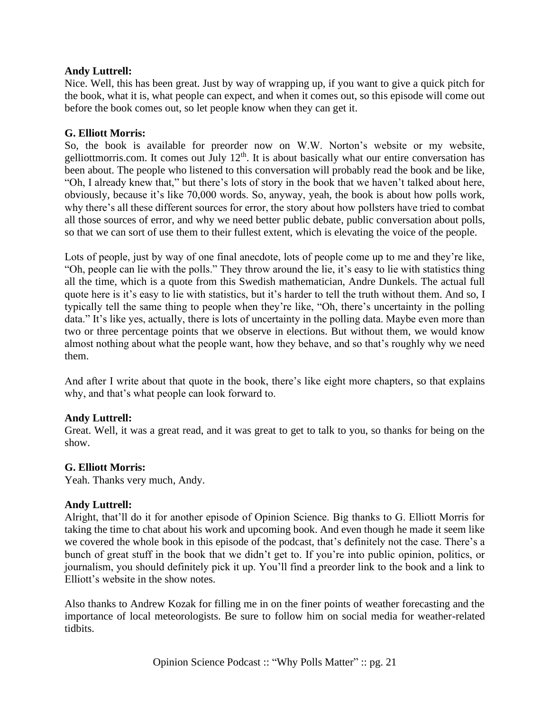#### **Andy Luttrell:**

Nice. Well, this has been great. Just by way of wrapping up, if you want to give a quick pitch for the book, what it is, what people can expect, and when it comes out, so this episode will come out before the book comes out, so let people know when they can get it.

# **G. Elliott Morris:**

So, the book is available for preorder now on W.W. Norton's website or my website, gelliottmorris.com. It comes out July  $12<sup>th</sup>$ . It is about basically what our entire conversation has been about. The people who listened to this conversation will probably read the book and be like, "Oh, I already knew that," but there's lots of story in the book that we haven't talked about here, obviously, because it's like 70,000 words. So, anyway, yeah, the book is about how polls work, why there's all these different sources for error, the story about how pollsters have tried to combat all those sources of error, and why we need better public debate, public conversation about polls, so that we can sort of use them to their fullest extent, which is elevating the voice of the people.

Lots of people, just by way of one final anecdote, lots of people come up to me and they're like, "Oh, people can lie with the polls." They throw around the lie, it's easy to lie with statistics thing all the time, which is a quote from this Swedish mathematician, Andre Dunkels. The actual full quote here is it's easy to lie with statistics, but it's harder to tell the truth without them. And so, I typically tell the same thing to people when they're like, "Oh, there's uncertainty in the polling data." It's like yes, actually, there is lots of uncertainty in the polling data. Maybe even more than two or three percentage points that we observe in elections. But without them, we would know almost nothing about what the people want, how they behave, and so that's roughly why we need them.

And after I write about that quote in the book, there's like eight more chapters, so that explains why, and that's what people can look forward to.

#### **Andy Luttrell:**

Great. Well, it was a great read, and it was great to get to talk to you, so thanks for being on the show.

#### **G. Elliott Morris:**

Yeah. Thanks very much, Andy.

#### **Andy Luttrell:**

Alright, that'll do it for another episode of Opinion Science. Big thanks to G. Elliott Morris for taking the time to chat about his work and upcoming book. And even though he made it seem like we covered the whole book in this episode of the podcast, that's definitely not the case. There's a bunch of great stuff in the book that we didn't get to. If you're into public opinion, politics, or journalism, you should definitely pick it up. You'll find a preorder link to the book and a link to Elliott's website in the show notes.

Also thanks to Andrew Kozak for filling me in on the finer points of weather forecasting and the importance of local meteorologists. Be sure to follow him on social media for weather-related tidbits.